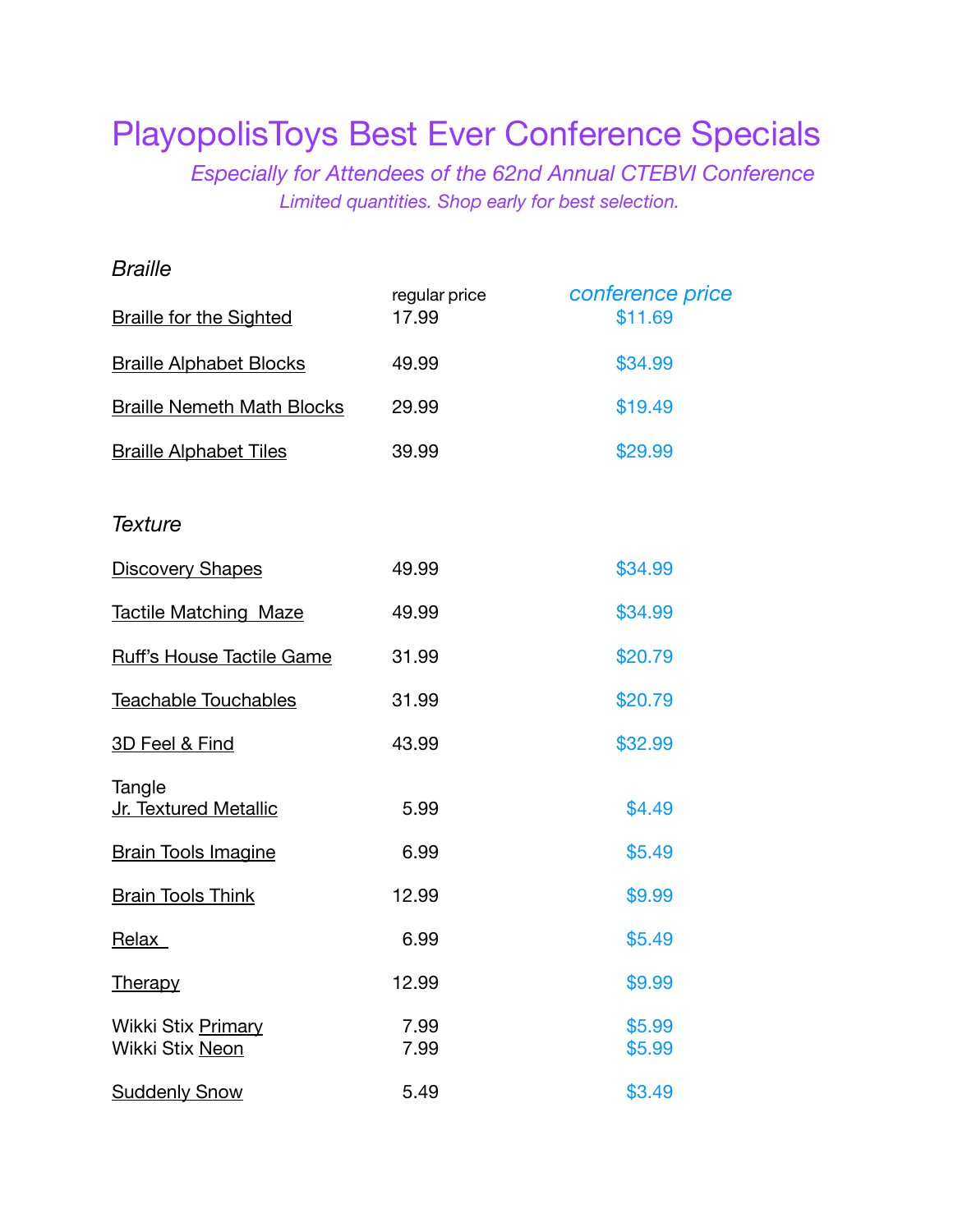# PlayopolisToys Best Ever Conference Specials

 *Especially for Attendees of the 62nd Annual CTEBVI Conference Limited quantities. Shop early for best selection.* 

| <b>Braille</b>                        |                        |                             |
|---------------------------------------|------------------------|-----------------------------|
| <b>Braille for the Sighted</b>        | regular price<br>17.99 | conference price<br>\$11.69 |
| <b>Braille Alphabet Blocks</b>        | 49.99                  | \$34.99                     |
| <b>Braille Nemeth Math Blocks</b>     | 29.99                  | \$19.49                     |
| <b>Braille Alphabet Tiles</b>         | 39.99                  | \$29.99                     |
| <b>Texture</b>                        |                        |                             |
| <b>Discovery Shapes</b>               | 49.99                  | \$34.99                     |
| <b>Tactile Matching Maze</b>          | 49.99                  | \$34.99                     |
| <b>Ruff's House Tactile Game</b>      | 31.99                  | \$20.79                     |
| Teachable Touchables                  | 31.99                  | \$20.79                     |
| 3D Feel & Find                        | 43.99                  | \$32.99                     |
| Tangle<br>Jr. Textured Metallic       | 5.99                   | \$4.49                      |
| <b>Brain Tools Imagine</b>            | 6.99                   | \$5.49                      |
| <b>Brain Tools Think</b>              | 12.99                  | \$9.99                      |
| Relax                                 | 6.99                   | \$5.49                      |
| <b>Therapy</b>                        | 12.99                  | \$9.99                      |
| Wikki Stix Primary<br>Wikki Stix Neon | 7.99<br>7.99           | \$5.99<br>\$5.99            |
| <b>Suddenly Snow</b>                  | 5.49                   | \$3.49                      |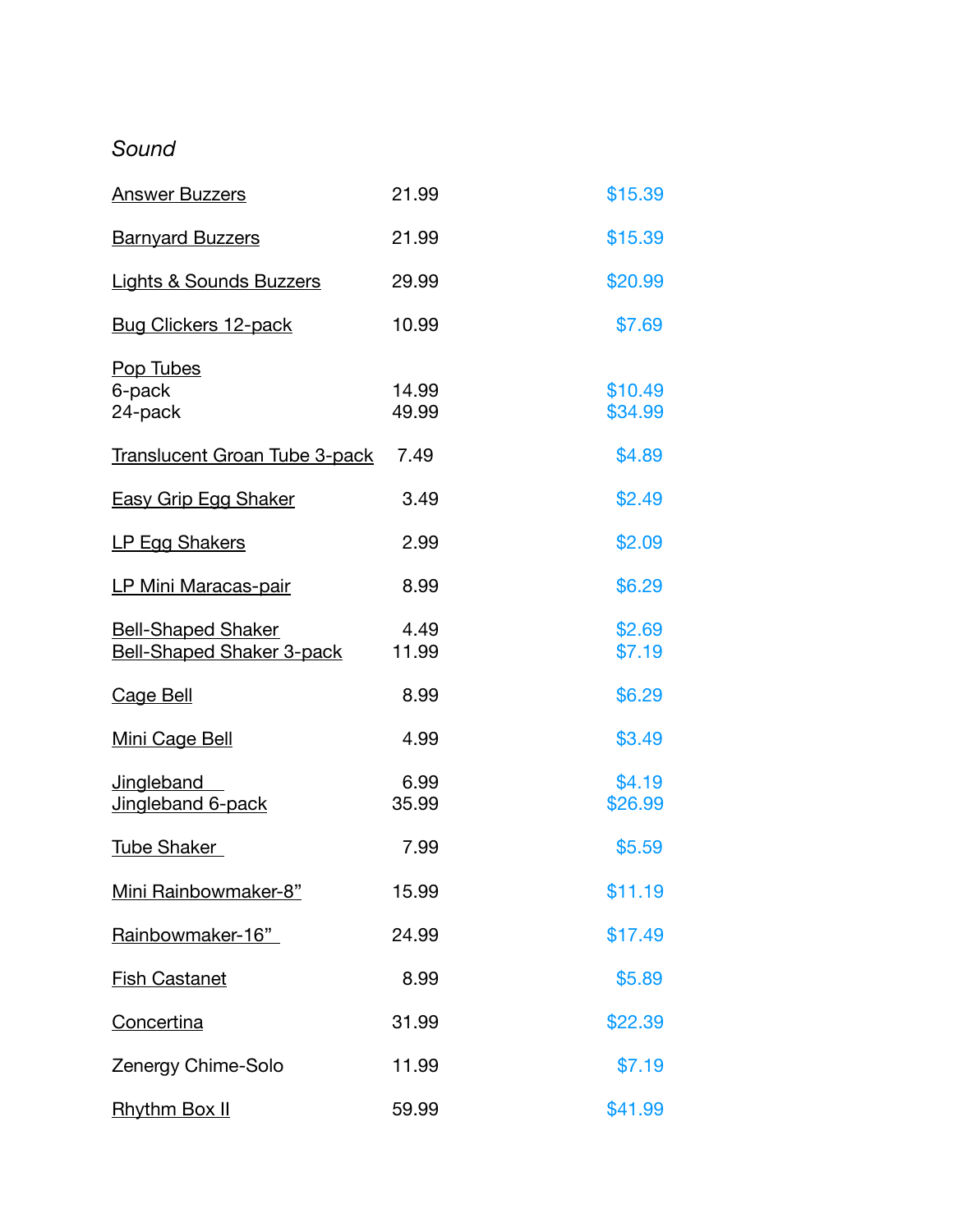# *Sound*

| <b>Answer Buzzers</b>                                         | 21.99          | \$15.39            |
|---------------------------------------------------------------|----------------|--------------------|
| <b>Barnyard Buzzers</b>                                       | 21.99          | \$15.39            |
| <b>Lights &amp; Sounds Buzzers</b>                            | 29.99          | \$20.99            |
| <b>Bug Clickers 12-pack</b>                                   | 10.99          | \$7.69             |
| Pop Tubes<br>6-pack<br>24-pack                                | 14.99<br>49.99 | \$10.49<br>\$34.99 |
| <b>Translucent Groan Tube 3-pack</b>                          | 7.49           | \$4.89             |
| <b>Easy Grip Egg Shaker</b>                                   | 3.49           | \$2.49             |
| <b>LP Egg Shakers</b>                                         | 2.99           | \$2.09             |
| <b>LP Mini Maracas-pair</b>                                   | 8.99           | \$6.29             |
| <b>Bell-Shaped Shaker</b><br><b>Bell-Shaped Shaker 3-pack</b> | 4.49<br>11.99  | \$2.69<br>\$7.19   |
| <b>Cage Bell</b>                                              | 8.99           | \$6.29             |
| <b>Mini Cage Bell</b>                                         | 4.99           | \$3.49             |
| <b>Jingleband</b><br>Jingleband 6-pack                        | 6.99<br>35.99  | \$4.19<br>\$26.99  |
| <b>Tube Shaker</b>                                            | 7.99           | \$5.59             |
| Mini Rainbowmaker-8"                                          | 15.99          | \$11.19            |
| Rainbowmaker-16"                                              | 24.99          | \$17.49            |
| <b>Fish Castanet</b>                                          | 8.99           | \$5.89             |
| Concertina                                                    | 31.99          | \$22.39            |
| Zenergy Chime-Solo                                            | 11.99          | \$7.19             |
| <b>Rhythm Box II</b>                                          | 59.99          | \$41.99            |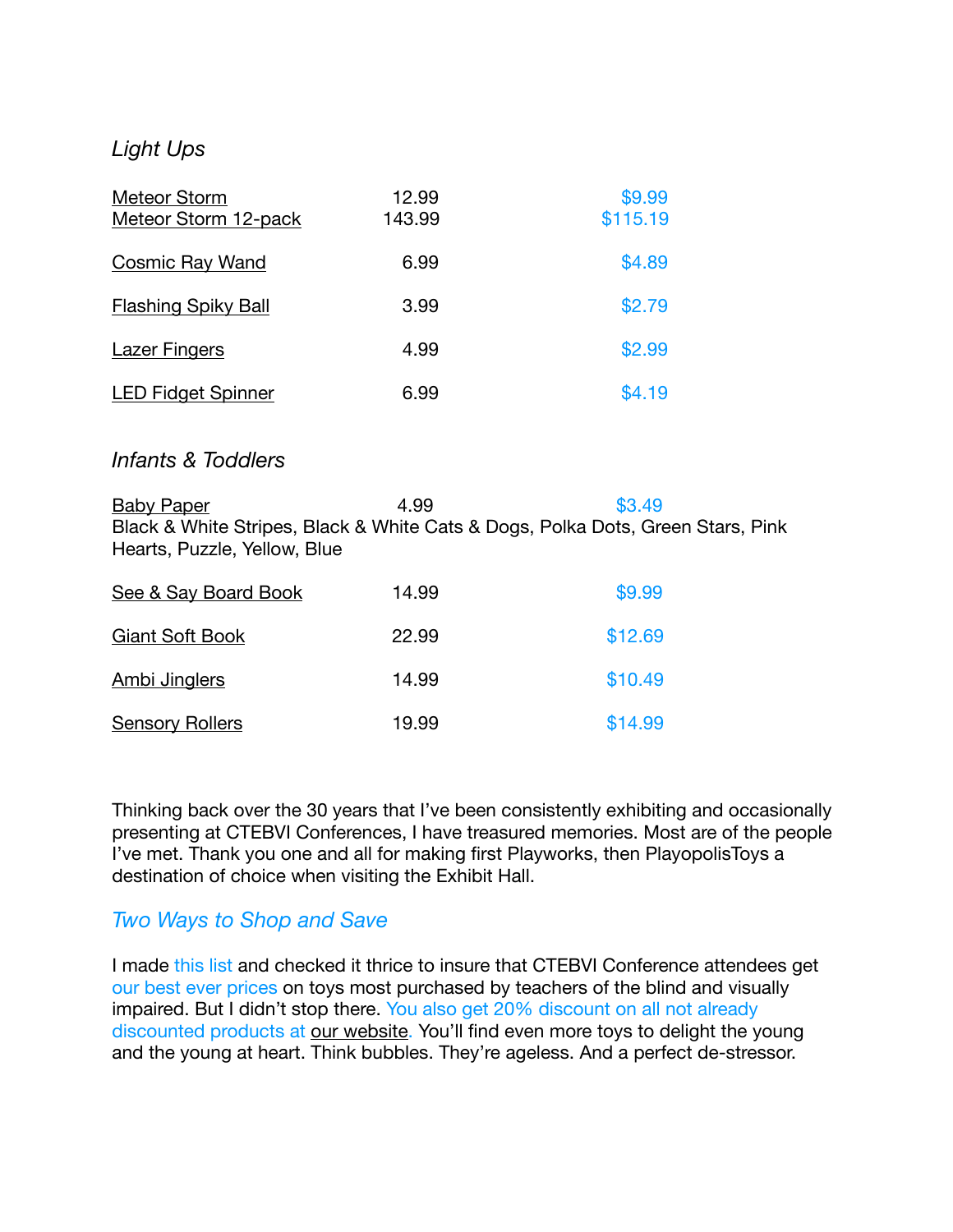# *Light Ups*

| <b>Meteor Storm</b><br>Meteor Storm 12-pack | 12.99<br>143.99 | \$9.99<br>\$115.19 |
|---------------------------------------------|-----------------|--------------------|
| <b>Cosmic Ray Wand</b>                      | 6.99            | \$4.89             |
| <b>Flashing Spiky Ball</b>                  | 3.99            | \$2.79             |
| <b>Lazer Fingers</b>                        | 4.99            | \$2.99             |
| <b>LED Fidget Spinner</b>                   | 6.99            | \$4.19             |

#### *Infants & Toddlers*

[Baby Paper](https://www.playopolistoys.com/?s=Baby+Paper&post_type=product) **1.99 1.99 \$3.49** Black & White Stripes, Black & White Cats & Dogs, Polka Dots, Green Stars, Pink Hearts, Puzzle, Yellow, Blue

| See & Say Board Book   | 14.99 | \$9.99  |  |
|------------------------|-------|---------|--|
| <b>Giant Soft Book</b> | 22.99 | \$12.69 |  |
| <b>Ambi Jinglers</b>   | 14.99 | \$10.49 |  |
| <b>Sensory Rollers</b> | 19.99 | \$14.99 |  |

Thinking back over the 30 years that I've been consistently exhibiting and occasionally presenting at CTEBVI Conferences, I have treasured memories. Most are of the people I've met. Thank you one and all for making first Playworks, then PlayopolisToys a destination of choice when visiting the Exhibit Hall.

## *Two Ways to Shop and Save*

I made this list and checked it thrice to insure that CTEBVI Conference attendees get our best ever prices on toys most purchased by teachers of the blind and visually impaired. But I didn't stop there. You also get 20% discount on all not already discounted products at [our website](https://www.playopolistoys.com/). You'll find even more toys to delight the young and the young at heart. Think bubbles. They're ageless. And a perfect de-stressor.